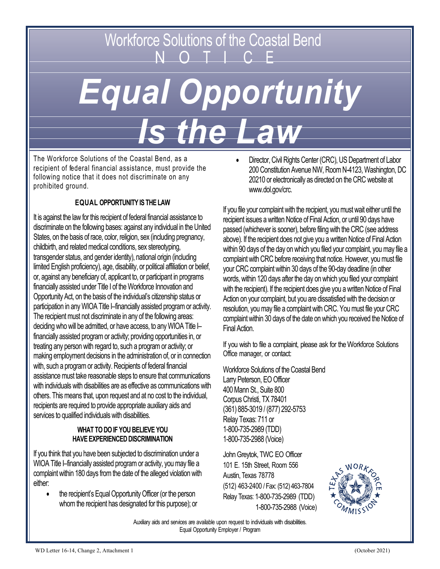# Workforce Solutions of the Coastal Bend<br>N O T I C F *Equal Opportunity Is the Law*

The Workforce Solutions of the Coastal Bend, as a recipient of federal financial assistance, must provide the following notice that it does not discriminate on any prohibited ground.

## **EQUAL OPPORTUNITY IS THE LAW**

It is against the law for this recipient of federal financial assistance to discriminate on the following bases: against any individual in the United States, on the basis of race, color, religion, sex (including pregnancy, childbirth, and related medical conditions, sex stereotyping, transgender status, and gender identity), national origin (including limited English proficiency), age, disability, or political affiliation or belief, or, against any beneficiary of, applicant to, or participant in programs financially assisted under Title I of the Workforce Innovation and Opportunity Act, on the basis of the individual's citizenship status or participation in any WIOA Title I–financially assisted program or activity. The recipient must not discriminate in any of the following areas: deciding who will be admitted, or have access, to any WIOA Title I– financially assisted program or activity; providing opportunities in, or treating any person with regard to, such a program or activity; or making employment decisions in the administration of, or in connection with, such a program or activity. Recipients of federal financial assistance must take reasonable steps to ensure that communications with individuals with disabilities are as effective as communications with others. This means that, upon request and at no cost to the individual, recipients are required to provide appropriate auxiliary aids and services to qualified individuals with disabilities.

#### **WHAT TO DO IF YOU BELIEVE YOU HAVE EXPERIENCED DISCRIMINATION**

If you think that you have been subjected to discrimination under a WIOA Title I–financially assisted program or activity, you may file a complaint within 180 days from the date of the alleged violation with either:

the recipient's Equal Opportunity Officer (or the person whom the recipient has designated for this purpose); or • Director, Civil Rights Center (CRC), US Department of Labor 200 Constitution Avenue NW, Room N-4123, Washington, DC 20210 or electronically as directed on the CRC website at www.dol.gov/crc.

If you file your complaint with the recipient, you must wait either until the recipient issues a written Notice of Final Action, or until 90 days have passed (whichever is sooner), before filing with the CRC (see address above). If the recipient does not give you a written Notice of Final Action within 90 days of the day on which you filed your complaint, you may file a complaint with CRC before receiving that notice. However, you must file your CRC complaint within 30 days of the 90-day deadline (in other words, within 120 days after the day on which you filed your complaint with the recipient). If the recipient does give you a written Notice of Final Action on your complaint, but you are dissatisfied with the decision or resolution, you may file a complaint with CRC. You must file your CRC complaint within 30 days of the date on which you received the Notice of Final Action.

If you wish to file a complaint, please ask for the Workforce Solutions Office manager, or contact:

Workforce Solutions of the Coastal Bend Larry Peterson, EO Officer 400 Mann St., Suite 800 Corpus Christi, TX 78401 (361) 885-3019 / (877) 292-5753 Relay Texas: 711 or 1-800-735-2989 (TDD) 1-800-735-2988 (Voice)

John Greytok, TWC EO Officer 101 E. 15th Street, Room 556 Austin, Texas 78778 (512) 463-2400 / Fax: (512) 463-7804 Relay Texas: 1-800-735-2989 (TDD) 1-800-735-2988 (Voice)



Auxiliary aids and services are available upon request to individuals with disabilities. Equal Opportunity Employer / Program